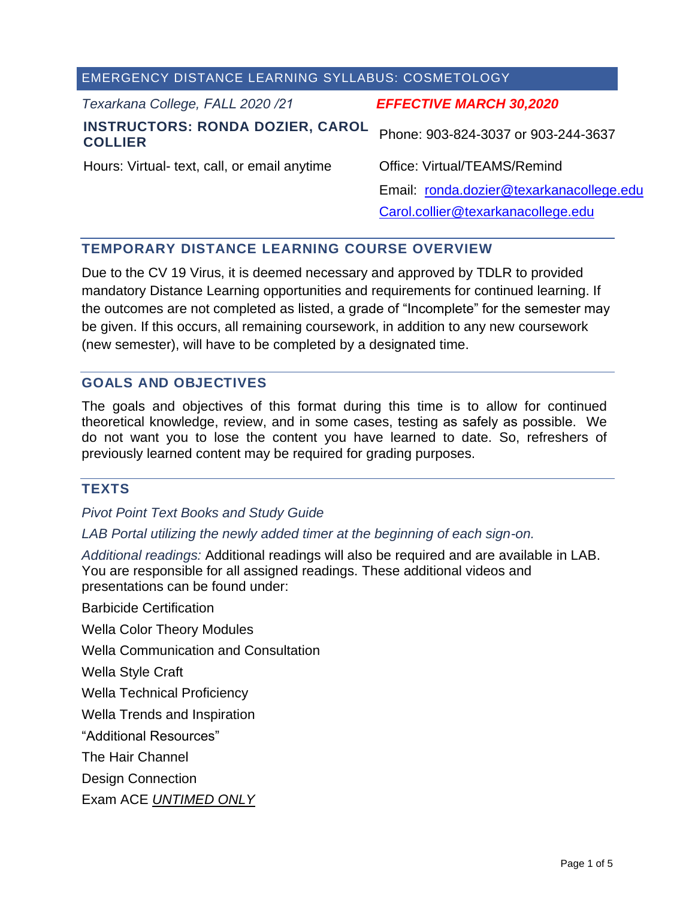| <b>EMERGENCY DISTANCE LEARNING SYLLABUS: COSMETOLOGY</b> |  |  |  |  |  |
|----------------------------------------------------------|--|--|--|--|--|
| <b>EFFECTIVE MARCH 30,2020</b>                           |  |  |  |  |  |
| Phone: 903-824-3037 or 903-244-3637                      |  |  |  |  |  |
| Office: Virtual/TEAMS/Remind                             |  |  |  |  |  |
| Email: ronda.dozier@texarkanacollege.edu                 |  |  |  |  |  |
| Carol.collier@texarkanacollege.edu                       |  |  |  |  |  |
|                                                          |  |  |  |  |  |

# **TEMPORARY DISTANCE LEARNING COURSE OVERVIEW**

Due to the CV 19 Virus, it is deemed necessary and approved by TDLR to provided mandatory Distance Learning opportunities and requirements for continued learning. If the outcomes are not completed as listed, a grade of "Incomplete" for the semester may be given. If this occurs, all remaining coursework, in addition to any new coursework (new semester), will have to be completed by a designated time.

# **GOALS AND OBJECTIVES**

The goals and objectives of this format during this time is to allow for continued theoretical knowledge, review, and in some cases, testing as safely as possible. We do not want you to lose the content you have learned to date. So, refreshers of previously learned content may be required for grading purposes.

## **TEXTS**

*Pivot Point Text Books and Study Guide*

### *LAB Portal utilizing the newly added timer at the beginning of each sign-on.*

*Additional readings:* Additional readings will also be required and are available in LAB. You are responsible for all assigned readings. These additional videos and presentations can be found under:

Barbicide Certification

Wella Color Theory Modules

Wella Communication and Consultation

Wella Style Craft

Wella Technical Proficiency

Wella Trends and Inspiration

"Additional Resources"

The Hair Channel

Design Connection

Exam ACE *UNTIMED ONLY*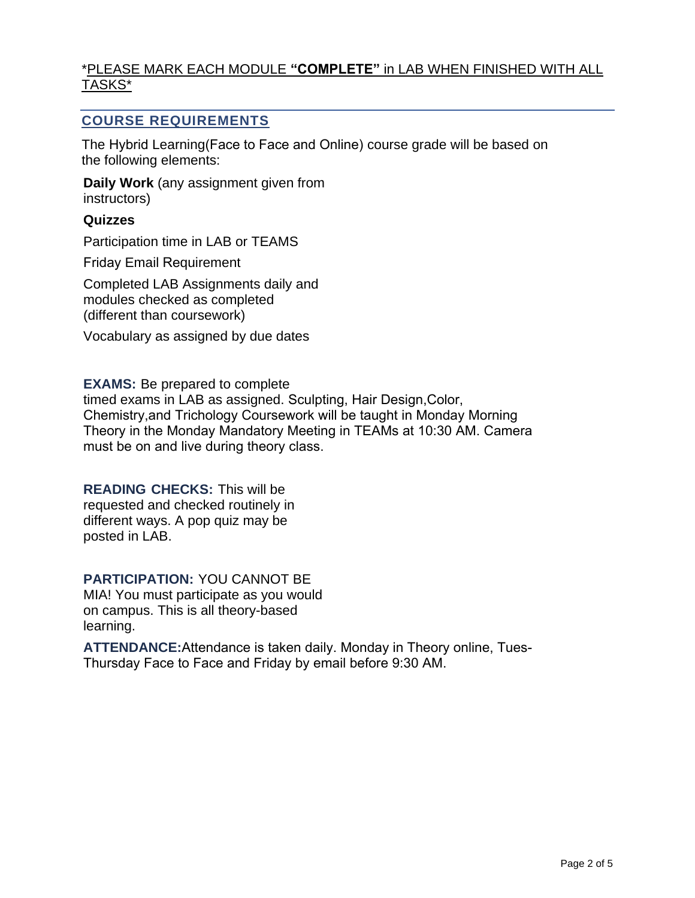# \*PLEASE MARK EACH MODULE **"COMPLETE"** in LAB WHEN FINISHED WITH ALL TASKS\*

# **COURSE REQUIREMENTS**

The Hybrid Learning(Face to Face and Online) course grade will be based on the following elements:

**Daily Work** (any assignment given from instructors)

### **Quizzes**

Participation time in LAB or TEAMS

Friday Email Requirement

Completed LAB Assignments daily and modules checked as completed (different than coursework)

Vocabulary as assigned by due dates

**EXAMS:** Be prepared to complete

timed exams in LAB as assigned. Sculpting, Hair Design,Color, Chemistry,and Trichology Coursework will be taught in Monday Morning Theory in the Monday Mandatory Meeting in TEAMs at 10:30 AM. Camera must be on and live during theory class.

# **READING CHECKS:** This will be

requested and checked routinely in different ways. A pop quiz may be posted in LAB.

**PARTICIPATION:** YOU CANNOT BE MIA! You must participate as you would

on campus. This is all theory-based learning.

**ATTENDANCE:**Attendance is taken daily. Monday in Theory online, Tues-Thursday Face to Face and Friday by email before 9:30 AM.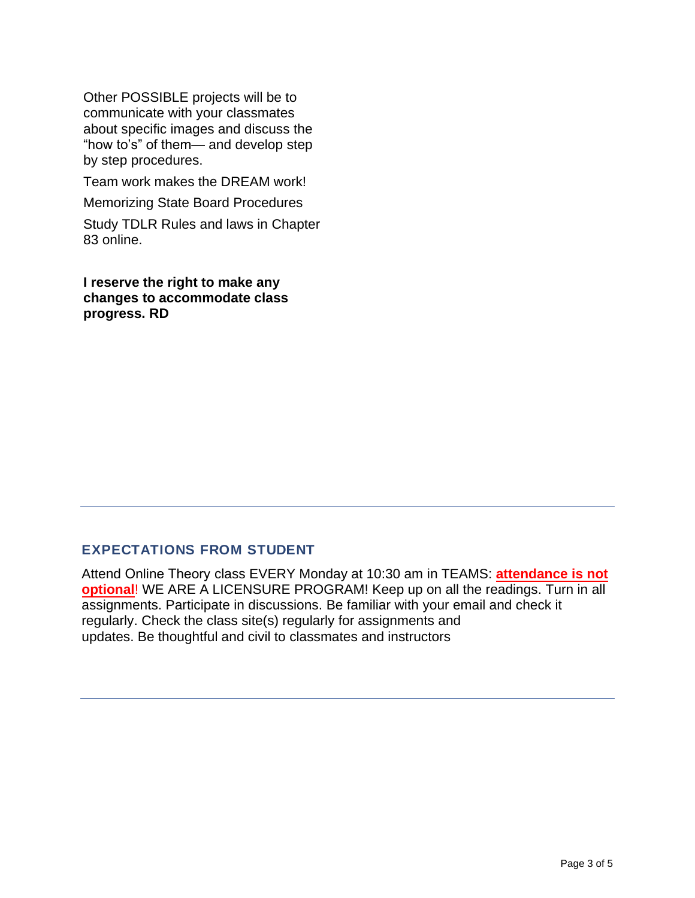Other POSSIBLE projects will be to communicate with your classmates about specific images and discuss the "how to's" of them— and develop step by step procedures.

Team work makes the DREAM work!

Memorizing State Board Procedures

Study TDLR Rules and laws in Chapter 83 online.

**I reserve the right to make any changes to accommodate class progress. RD**

## **EXPECTATIONS FROM STUDENT**

Attend Online Theory class EVERY Monday at 10:30 am in TEAMS: **attendance is not optional**! WE ARE A LICENSURE PROGRAM! Keep up on all the readings. Turn in all assignments. Participate in discussions. Be familiar with your email and check it regularly. Check the class site(s) regularly for assignments and updates. Be thoughtful and civil to classmates and instructors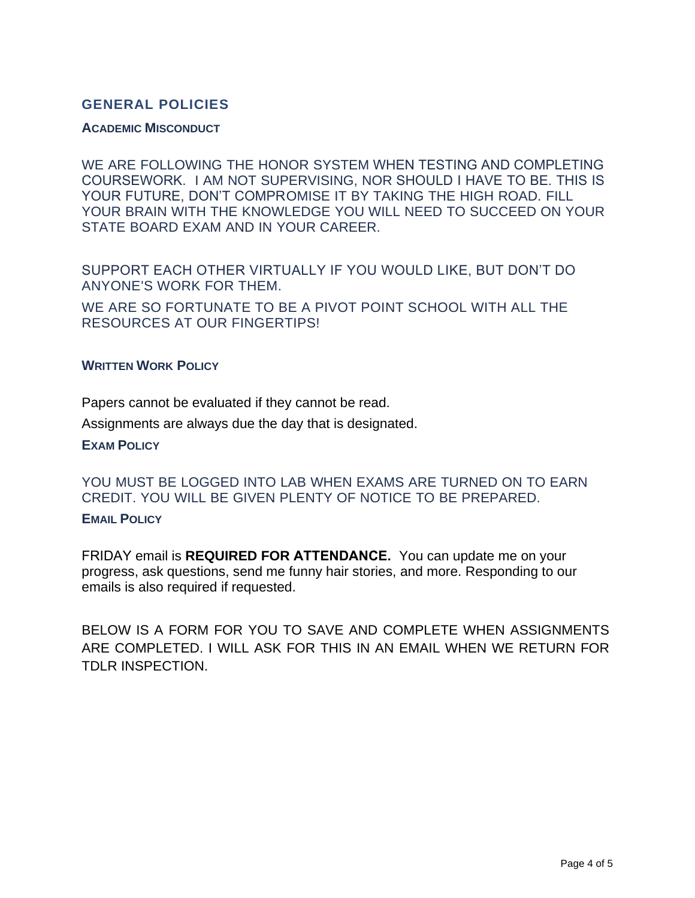# **GENERAL POLICIES**

### **ACADEMIC MISCONDUCT**

WE ARE FOLLOWING THE HONOR SYSTEM WHEN TESTING AND COMPLETING COURSEWORK. I AM NOT SUPERVISING, NOR SHOULD I HAVE TO BE. THIS IS YOUR FUTURE, DON'T COMPROMISE IT BY TAKING THE HIGH ROAD. FILL YOUR BRAIN WITH THE KNOWLEDGE YOU WILL NEED TO SUCCEED ON YOUR STATE BOARD EXAM AND IN YOUR CAREER.

SUPPORT EACH OTHER VIRTUALLY IF YOU WOULD LIKE, BUT DON'T DO ANYONE'S WORK FOR THEM.

WE ARE SO FORTUNATE TO BE A PIVOT POINT SCHOOL WITH ALL THE RESOURCES AT OUR FINGERTIPS!

## **WRITTEN WORK POLICY**

Papers cannot be evaluated if they cannot be read.

Assignments are always due the day that is designated.

### **EXAM POLICY**

YOU MUST BE LOGGED INTO LAB WHEN EXAMS ARE TURNED ON TO EARN CREDIT. YOU WILL BE GIVEN PLENTY OF NOTICE TO BE PREPARED.

### **EMAIL POLICY**

FRIDAY email is **REQUIRED FOR ATTENDANCE.** You can update me on your progress, ask questions, send me funny hair stories, and more. Responding to our emails is also required if requested.

BELOW IS A FORM FOR YOU TO SAVE AND COMPLETE WHEN ASSIGNMENTS ARE COMPLETED. I WILL ASK FOR THIS IN AN EMAIL WHEN WE RETURN FOR TDLR INSPECTION.